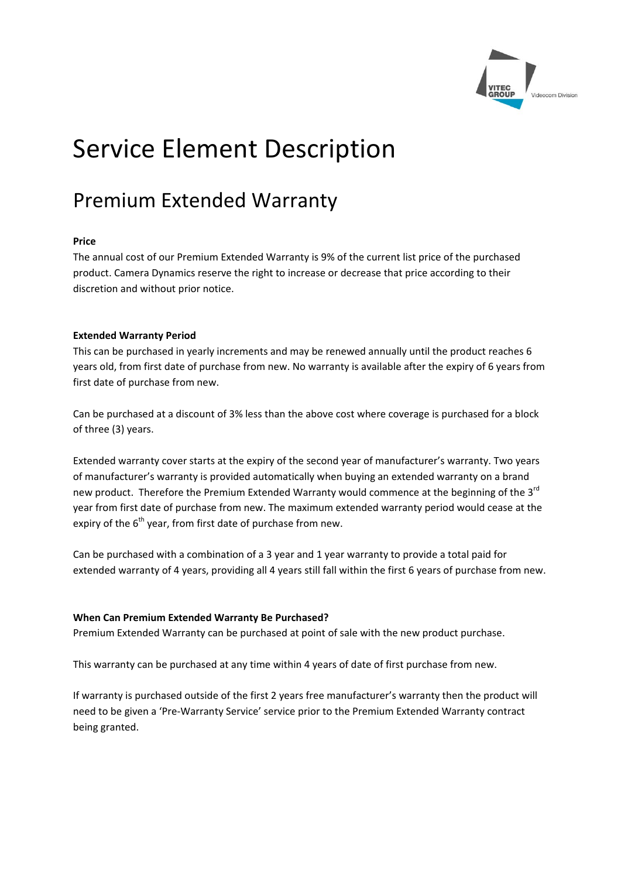

# Service Element Description

# Premium Extended Warranty

# **Price**

The annual cost of our Premium Extended Warranty is 9% of the current list price of the purchased product. Camera Dynamics reserve the right to increase or decrease that price according to their discretion and without prior notice.

# **Extended Warranty Period**

This can be purchased in yearly increments and may be renewed annually until the product reaches 6 years old, from first date of purchase from new. No warranty is available after the expiry of 6 years from first date of purchase from new.

Can be purchased at a discount of 3% less than the above cost where coverage is purchased for a block of three (3) years.

Extended warranty cover starts at the expiry of the second year of manufacturer's warranty. Two years of manufacturer's warranty is provided automatically when buying an extended warranty on a brand new product. Therefore the Premium Extended Warranty would commence at the beginning of the 3<sup>rd</sup> year from first date of purchase from new. The maximum extended warranty period would cease at the expiry of the  $6<sup>th</sup>$  year, from first date of purchase from new.

Can be purchased with a combination of a 3 year and 1 year warranty to provide a total paid for extended warranty of 4 years, providing all 4 years still fall within the first 6 years of purchase from new.

# **When Can Premium Extended Warranty Be Purchased?**

Premium Extended Warranty can be purchased at point of sale with the new product purchase.

This warranty can be purchased at any time within 4 years of date of first purchase from new.

If warranty is purchased outside of the first 2 years free manufacturer's warranty then the product will need to be given a 'Pre‐Warranty Service' service prior to the Premium Extended Warranty contract being granted.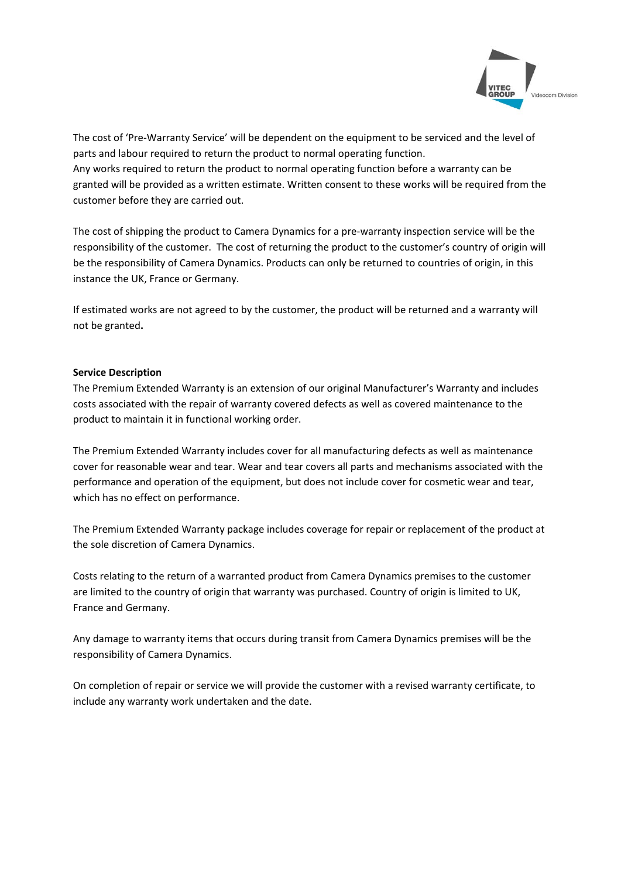

The cost of 'Pre‐Warranty Service' will be dependent on the equipment to be serviced and the level of parts and labour required to return the product to normal operating function. Any works required to return the product to normal operating function before a warranty can be granted will be provided as a written estimate. Written consent to these works will be required from the customer before they are carried out.

The cost of shipping the product to Camera Dynamics for a pre‐warranty inspection service will be the responsibility of the customer. The cost of returning the product to the customer's country of origin will be the responsibility of Camera Dynamics. Products can only be returned to countries of origin, in this instance the UK, France or Germany.

If estimated works are not agreed to by the customer, the product will be returned and a warranty will not be granted**.**

# **Service Description**

The Premium Extended Warranty is an extension of our original Manufacturer's Warranty and includes costs associated with the repair of warranty covered defects as well as covered maintenance to the product to maintain it in functional working order.

The Premium Extended Warranty includes cover for all manufacturing defects as well as maintenance cover for reasonable wear and tear. Wear and tear covers all parts and mechanisms associated with the performance and operation of the equipment, but does not include cover for cosmetic wear and tear, which has no effect on performance.

The Premium Extended Warranty package includes coverage for repair or replacement of the product at the sole discretion of Camera Dynamics.

Costs relating to the return of a warranted product from Camera Dynamics premises to the customer are limited to the country of origin that warranty was purchased. Country of origin is limited to UK, France and Germany.

Any damage to warranty items that occurs during transit from Camera Dynamics premises will be the responsibility of Camera Dynamics.

On completion of repair or service we will provide the customer with a revised warranty certificate, to include any warranty work undertaken and the date.